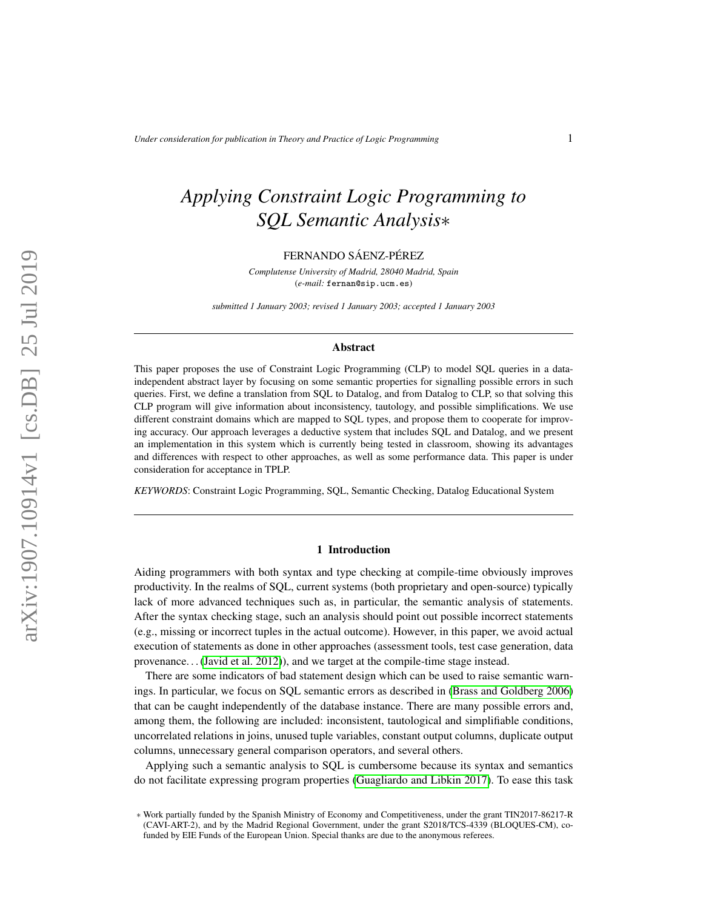# *Applying Constraint Logic Programming to SQL Semantic Analysis*∗

FERNANDO SÁENZ-PÉREZ

*Complutense University of Madrid, 28040 Madrid, Spain* (*e-mail:* fernan@sip.ucm.es)

*submitted 1 January 2003; revised 1 January 2003; accepted 1 January 2003*

## Abstract

This paper proposes the use of Constraint Logic Programming (CLP) to model SQL queries in a dataindependent abstract layer by focusing on some semantic properties for signalling possible errors in such queries. First, we define a translation from SQL to Datalog, and from Datalog to CLP, so that solving this CLP program will give information about inconsistency, tautology, and possible simplifications. We use different constraint domains which are mapped to SQL types, and propose them to cooperate for improving accuracy. Our approach leverages a deductive system that includes SQL and Datalog, and we present an implementation in this system which is currently being tested in classroom, showing its advantages and differences with respect to other approaches, as well as some performance data. This paper is under consideration for acceptance in TPLP.

*KEYWORDS*: Constraint Logic Programming, SQL, Semantic Checking, Datalog Educational System

#### 1 Introduction

Aiding programmers with both syntax and type checking at compile-time obviously improves productivity. In the realms of SQL, current systems (both proprietary and open-source) typically lack of more advanced techniques such as, in particular, the semantic analysis of statements. After the syntax checking stage, such an analysis should point out possible incorrect statements (e.g., missing or incorrect tuples in the actual outcome). However, in this paper, we avoid actual execution of statements as done in other approaches (assessment tools, test case generation, data provenance. . . [\(Javid et al. 2012\)](#page-15-0)), and we target at the compile-time stage instead.

There are some indicators of bad statement design which can be used to raise semantic warnings. In particular, we focus on SQL semantic errors as described in [\(Brass and Goldberg 2006\)](#page-15-1) that can be caught independently of the database instance. There are many possible errors and, among them, the following are included: inconsistent, tautological and simplifiable conditions, uncorrelated relations in joins, unused tuple variables, constant output columns, duplicate output columns, unnecessary general comparison operators, and several others.

Applying such a semantic analysis to SQL is cumbersome because its syntax and semantics do not facilitate expressing program properties [\(Guagliardo and Libkin 2017\)](#page-15-2). To ease this task

<sup>∗</sup> Work partially funded by the Spanish Ministry of Economy and Competitiveness, under the grant TIN2017-86217-R (CAVI-ART-2), and by the Madrid Regional Government, under the grant S2018/TCS-4339 (BLOQUES-CM), cofunded by EIE Funds of the European Union. Special thanks are due to the anonymous referees.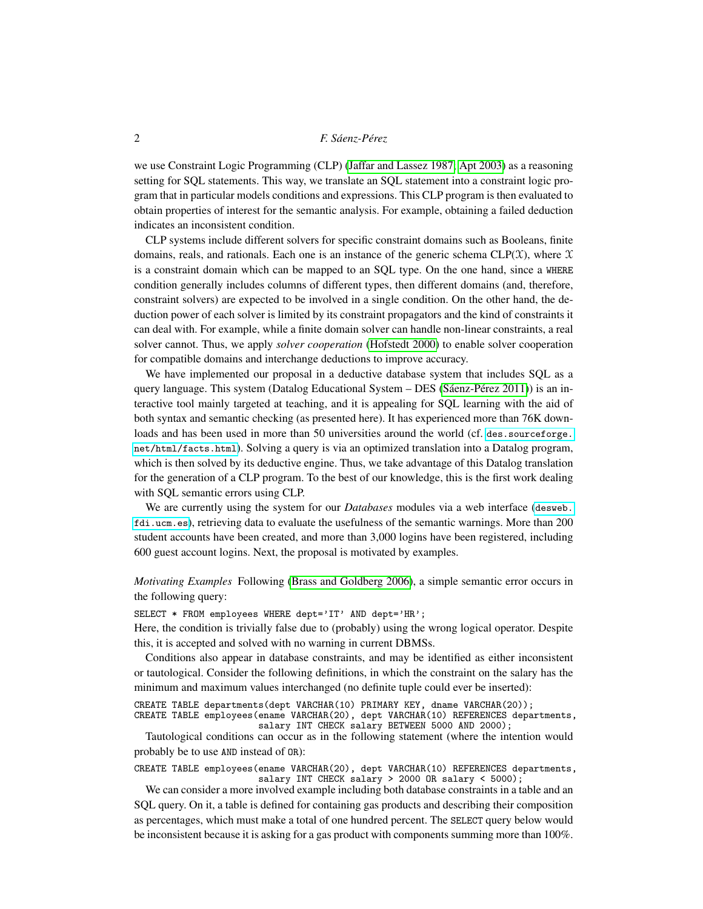we use Constraint Logic Programming (CLP) [\(Jaffar and Lassez 1987;](#page-15-3) [Apt 2003\)](#page-14-0) as a reasoning setting for SQL statements. This way, we translate an SQL statement into a constraint logic program that in particular models conditions and expressions. This CLP program is then evaluated to obtain properties of interest for the semantic analysis. For example, obtaining a failed deduction indicates an inconsistent condition.

CLP systems include different solvers for specific constraint domains such as Booleans, finite domains, reals, and rationals. Each one is an instance of the generic schema CLP( $X$ ), where X is a constraint domain which can be mapped to an SQL type. On the one hand, since a WHERE condition generally includes columns of different types, then different domains (and, therefore, constraint solvers) are expected to be involved in a single condition. On the other hand, the deduction power of each solver is limited by its constraint propagators and the kind of constraints it can deal with. For example, while a finite domain solver can handle non-linear constraints, a real solver cannot. Thus, we apply *solver cooperation* [\(Hofstedt 2000\)](#page-15-4) to enable solver cooperation for compatible domains and interchange deductions to improve accuracy.

We have implemented our proposal in a deductive database system that includes SQL as a query language. This system (Datalog Educational System  $-$  DES (Sáenz-Pérez 2011)) is an interactive tool mainly targeted at teaching, and it is appealing for SQL learning with the aid of both syntax and semantic checking (as presented here). It has experienced more than 76K downloads and has been used in more than 50 universities around the world (cf. [des.sourceforge.](des.sourceforge.net/html/facts.html) [net/html/facts.html](des.sourceforge.net/html/facts.html)). Solving a query is via an optimized translation into a Datalog program, which is then solved by its deductive engine. Thus, we take advantage of this Datalog translation for the generation of a CLP program. To the best of our knowledge, this is the first work dealing with SQL semantic errors using CLP.

We are currently using the system for our *Databases* modules via a web interface ([desweb.](desweb.fdi.ucm.es) [fdi.ucm.es](desweb.fdi.ucm.es)), retrieving data to evaluate the usefulness of the semantic warnings. More than 200 student accounts have been created, and more than 3,000 logins have been registered, including 600 guest account logins. Next, the proposal is motivated by examples.

*Motivating Examples* Following [\(Brass and Goldberg 2006\)](#page-15-1), a simple semantic error occurs in the following query:

SELECT \* FROM employees WHERE dept='IT' AND dept='HR';

Here, the condition is trivially false due to (probably) using the wrong logical operator. Despite this, it is accepted and solved with no warning in current DBMSs.

Conditions also appear in database constraints, and may be identified as either inconsistent or tautological. Consider the following definitions, in which the constraint on the salary has the minimum and maximum values interchanged (no definite tuple could ever be inserted):

CREATE TABLE departments(dept VARCHAR(10) PRIMARY KEY, dname VARCHAR(20));

CREATE TABLE employees(ename VARCHAR(20), dept VARCHAR(10) REFERENCES departments, salary INT CHECK salary BETWEEN 5000 AND 2000);

Tautological conditions can occur as in the following statement (where the intention would probably be to use AND instead of OR):

CREATE TABLE employees(ename VARCHAR(20), dept VARCHAR(10) REFERENCES departments, salary INT CHECK salary > 2000 OR salary < 5000);

We can consider a more involved example including both database constraints in a table and an SQL query. On it, a table is defined for containing gas products and describing their composition as percentages, which must make a total of one hundred percent. The SELECT query below would be inconsistent because it is asking for a gas product with components summing more than 100%.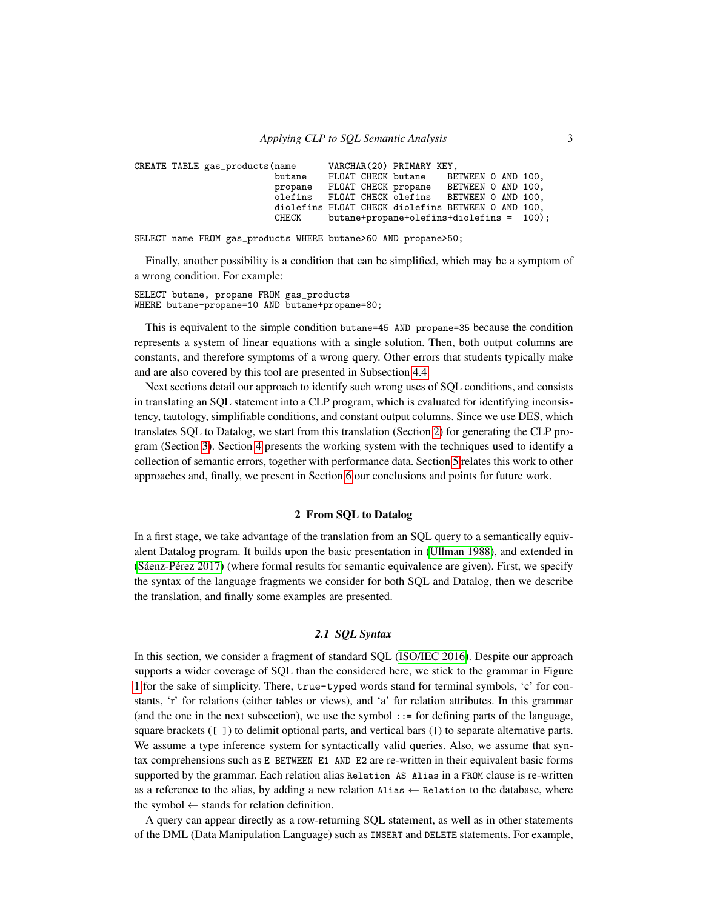|  | CREATE TABLE gas_products(name |                                                    | VARCHAR(20) PRIMARY KEY,                   |  |                     |                                       |  |  |  |
|--|--------------------------------|----------------------------------------------------|--------------------------------------------|--|---------------------|---------------------------------------|--|--|--|
|  |                                | butane                                             |                                            |  |                     | FLOAT CHECK butane BETWEEN 0 AND 100. |  |  |  |
|  |                                | propane                                            |                                            |  | FLOAT CHECK propane | BETWEEN O AND 100.                    |  |  |  |
|  |                                | olefins FLOAT CHECK olefins BETWEEN 0 AND 100,     |                                            |  |                     |                                       |  |  |  |
|  |                                | diolefins FLOAT CHECK diolefins BETWEEN 0 AND 100, |                                            |  |                     |                                       |  |  |  |
|  |                                | CHECK                                              | $butane+propane+olefins+diolefins = 100);$ |  |                     |                                       |  |  |  |

SELECT name FROM gas\_products WHERE butane>60 AND propane>50;

Finally, another possibility is a condition that can be simplified, which may be a symptom of a wrong condition. For example:

SELECT butane, propane FROM gas\_products WHERE butane-propane=10 AND butane+propane=80;

This is equivalent to the simple condition butane=45 AND propane=35 because the condition represents a system of linear equations with a single solution. Then, both output columns are constants, and therefore symptoms of a wrong query. Other errors that students typically make and are also covered by this tool are presented in Subsection [4.4.](#page-12-0)

Next sections detail our approach to identify such wrong uses of SQL conditions, and consists in translating an SQL statement into a CLP program, which is evaluated for identifying inconsistency, tautology, simplifiable conditions, and constant output columns. Since we use DES, which translates SQL to Datalog, we start from this translation (Section [2\)](#page-2-0) for generating the CLP program (Section [3\)](#page-5-0). Section [4](#page-10-0) presents the working system with the techniques used to identify a collection of semantic errors, together with performance data. Section [5](#page-13-0) relates this work to other approaches and, finally, we present in Section [6](#page-14-1) our conclusions and points for future work.

## 2 From SQL to Datalog

<span id="page-2-0"></span>In a first stage, we take advantage of the translation from an SQL query to a semantically equivalent Datalog program. It builds upon the basic presentation in [\(Ullman 1988\)](#page-15-6), and extended in  $(Sáenz-Pérez 2017)$  (where formal results for semantic equivalence are given). First, we specify the syntax of the language fragments we consider for both SQL and Datalog, then we describe the translation, and finally some examples are presented.

## *2.1 SQL Syntax*

In this section, we consider a fragment of standard SQL [\(ISO/IEC 2016\)](#page-15-8). Despite our approach supports a wider coverage of SQL than the considered here, we stick to the grammar in Figure [1](#page-3-0) for the sake of simplicity. There, true-typed words stand for terminal symbols, 'c' for constants, 'r' for relations (either tables or views), and 'a' for relation attributes. In this grammar (and the one in the next subsection), we use the symbol  $\cdot$ : = for defining parts of the language, square brackets ([ ]) to delimit optional parts, and vertical bars (1) to separate alternative parts. We assume a type inference system for syntactically valid queries. Also, we assume that syntax comprehensions such as E BETWEEN E1 AND E2 are re-written in their equivalent basic forms supported by the grammar. Each relation alias Relation AS Alias in a FROM clause is re-written as a reference to the alias, by adding a new relation Alias  $\leftarrow$  Relation to the database, where the symbol  $\leftarrow$  stands for relation definition.

A query can appear directly as a row-returning SQL statement, as well as in other statements of the DML (Data Manipulation Language) such as INSERT and DELETE statements. For example,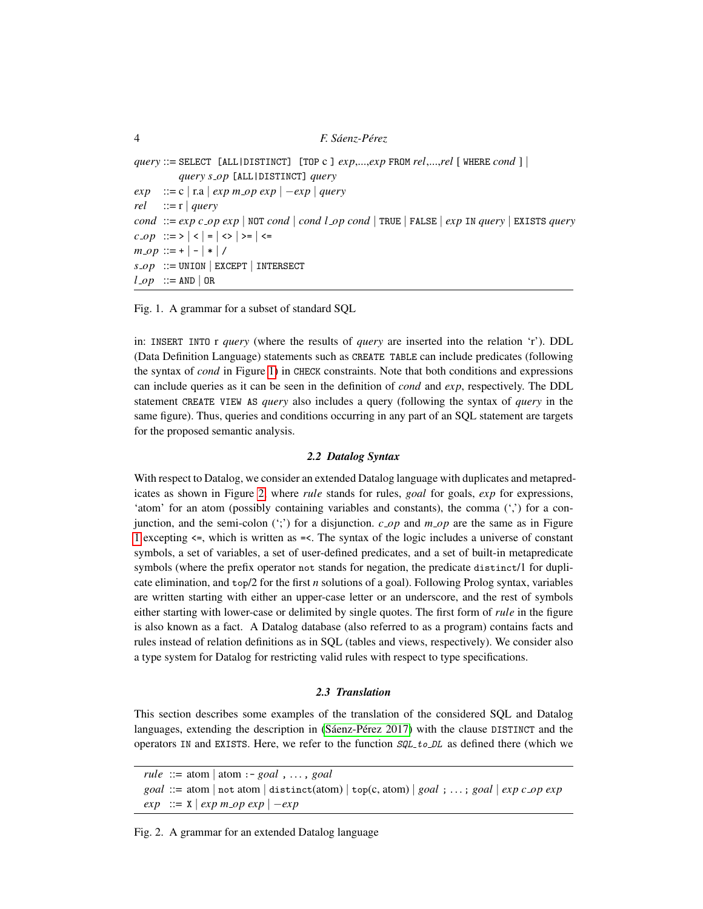```
4 F. Saenz-P ´ erez ´
```

```
query ::= SELECT [ALL|DISTINCT] [TOP c ] exp,...,exp FROM rel,...,rel [ WHERE cond ] |
         query s op [ALL|DISTINCT] query
exp ::= c | r.a | exp m\_op exp | -exp | query
rel ::= r | query
cond ::= exp c op exp | NOT cond | cond l op cond | TRUE | FALSE | exp IN query | EXISTS query
c op ::=> |<|=|<>>=</math> |<m_{0}p ::= + |-| * | /s op ::= UNION | EXCEPT | INTERSECT
l \text{p} ::= AND | OR
```
<span id="page-3-0"></span>Fig. 1. A grammar for a subset of standard SQL

in: INSERT INTO r *query* (where the results of *query* are inserted into the relation 'r'). DDL (Data Definition Language) statements such as CREATE TABLE can include predicates (following the syntax of *cond* in Figure [1\)](#page-3-0) in CHECK constraints. Note that both conditions and expressions can include queries as it can be seen in the definition of *cond* and *exp*, respectively. The DDL statement CREATE VIEW AS *query* also includes a query (following the syntax of *query* in the same figure). Thus, queries and conditions occurring in any part of an SQL statement are targets for the proposed semantic analysis.

## *2.2 Datalog Syntax*

With respect to Datalog, we consider an extended Datalog language with duplicates and metapredicates as shown in Figure [2,](#page-3-1) where *rule* stands for rules, *goal* for goals, *exp* for expressions, 'atom' for an atom (possibly containing variables and constants), the comma  $(\cdot)$  for a conjunction, and the semi-colon ( $\langle \cdot \rangle$ ) for a disjunction. *c\_op* and *m\_op* are the same as in Figure [1](#page-3-0) excepting <=, which is written as =<. The syntax of the logic includes a universe of constant symbols, a set of variables, a set of user-defined predicates, and a set of built-in metapredicate symbols (where the prefix operator not stands for negation, the predicate distinct/1 for duplicate elimination, and top/2 for the first *n* solutions of a goal). Following Prolog syntax, variables are written starting with either an upper-case letter or an underscore, and the rest of symbols either starting with lower-case or delimited by single quotes. The first form of *rule* in the figure is also known as a fact. A Datalog database (also referred to as a program) contains facts and rules instead of relation definitions as in SQL (tables and views, respectively). We consider also a type system for Datalog for restricting valid rules with respect to type specifications.

## *2.3 Translation*

<span id="page-3-2"></span>This section describes some examples of the translation of the considered SQL and Datalog languages, extending the description in (Sáenz-Pérez 2017) with the clause DISTINCT and the operators IN and EXISTS. Here, we refer to the function  $SQL_to$  as defined there (which we

```
rule ::= atom | atom :- goal , . . . , goal
goal ::= atom | not atom | distinct(atom) | top(c, atom) | goal ; . . . ; goal | exp c op exp
exp ::= X \mid exp m\_op exp |-exp
```
<span id="page-3-1"></span>Fig. 2. A grammar for an extended Datalog language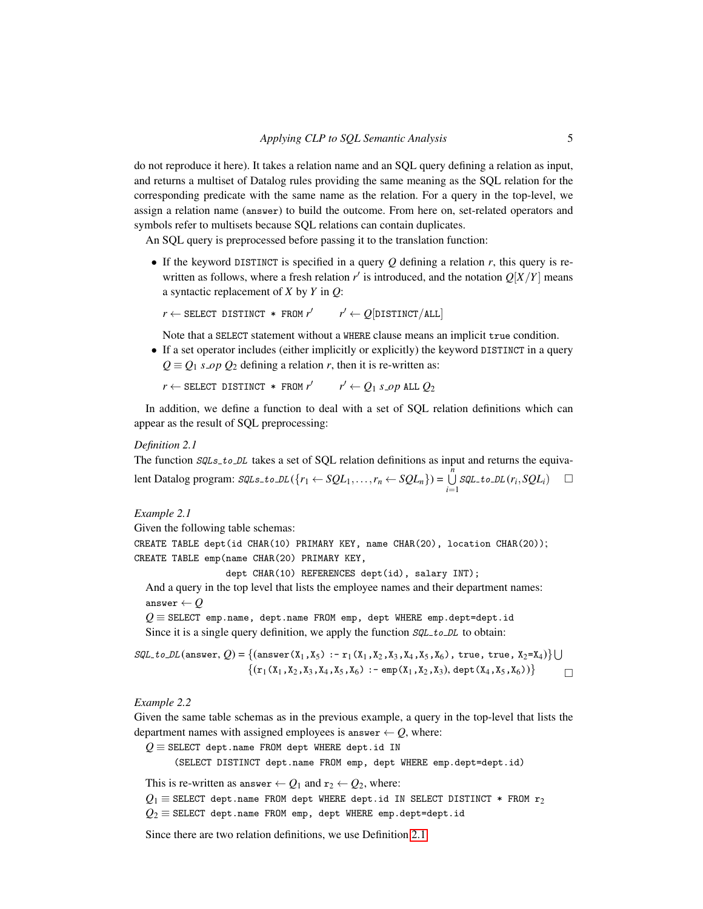do not reproduce it here). It takes a relation name and an SQL query defining a relation as input, and returns a multiset of Datalog rules providing the same meaning as the SQL relation for the corresponding predicate with the same name as the relation. For a query in the top-level, we assign a relation name (answer) to build the outcome. From here on, set-related operators and symbols refer to multisets because SQL relations can contain duplicates.

An SQL query is preprocessed before passing it to the translation function:

• If the keyword DISTINCT is specified in a query *Q* defining a relation *r*, this query is rewritten as follows, where a fresh relation  $r'$  is introduced, and the notation  $Q[X/Y]$  means a syntactic replacement of *X* by *Y* in *Q*:

 $r \leftarrow$  SELECT DISTINCT \* FROM  $r'$  $r' \leftarrow Q[\texttt{DISTNOT}/\texttt{ALL}]$ 

Note that a SELECT statement without a WHERE clause means an implicit true condition.

• If a set operator includes (either implicitly or explicitly) the keyword DISTINCT in a query  $Q \equiv Q_1$  *s op*  $Q_2$  defining a relation *r*, then it is re-written as:

 $r \leftarrow$  SELECT DISTINCT \* FROM  $r'$  $r' \leftarrow Q_1$  *s op* all  $Q_2$ 

In addition, we define a function to deal with a set of SQL relation definitions which can appear as the result of SQL preprocessing:

#### <span id="page-4-0"></span>*Definition 2.1*

The function  $\mathcal{SQLs}\text{-}to\text{-}DL$  takes a set of SQL relation definitions as input and returns the equivalent Datalog program:  $\mathcal{SQLs\_to}\text{DL}(\lbrace r_1 \leftarrow SQL_1,\ldots,r_n \leftarrow SQL_n \rbrace) = \bigcup_{i=1}^n \mathcal{SQL\_to}\text{DL}(r_i,\text{SQL}_i) \quad \Box$ 

## <span id="page-4-1"></span>*Example 2.1*

Given the following table schemas:

CREATE TABLE dept(id CHAR(10) PRIMARY KEY, name CHAR(20), location CHAR(20)); CREATE TABLE emp(name CHAR(20) PRIMARY KEY,

dept CHAR(10) REFERENCES dept(id), salary INT);

And a query in the top level that lists the employee names and their department names: answer  $\leftarrow O$ 

*Q* ≡ SELECT emp.name, dept.name FROM emp, dept WHERE emp.dept=dept.id Since it is a single query definition, we apply the function  $SQL\_to\_DL$  to obtain:

$$
SQL_to\_DL(\text{answer}, Q) = \{(\text{answer}(X_1, X_5) : r_1(X_1, X_2, X_3, X_4, X_5, X_6), \text{ true}, \text{ true}, X_2 = X_4)\} \cup \{ (r_1(X_1, X_2, X_3, X_4, X_5, X_6) : - \text{emp}(X_1, X_2, X_3), \text{dept}(X_4, X_5, X_6)) \}
$$

*Example 2.2*

Given the same table schemas as in the previous example, a query in the top-level that lists the department names with assigned employees is answer  $\leftarrow Q$ , where:

*Q* ≡ SELECT dept.name FROM dept WHERE dept.id IN

(SELECT DISTINCT dept.name FROM emp, dept WHERE emp.dept=dept.id)

This is re-written as answer  $\leftarrow Q_1$  and  $r_2 \leftarrow Q_2$ , where:

 $Q_1 \equiv$  SELECT dept.name FROM dept WHERE dept.id IN SELECT DISTINCT \* FROM  $\mathbf{r}_2$  $Q_2 \equiv$  SELECT dept.name FROM emp, dept WHERE emp.dept=dept.id

Since there are two relation definitions, we use Definition [2.1:](#page-4-0)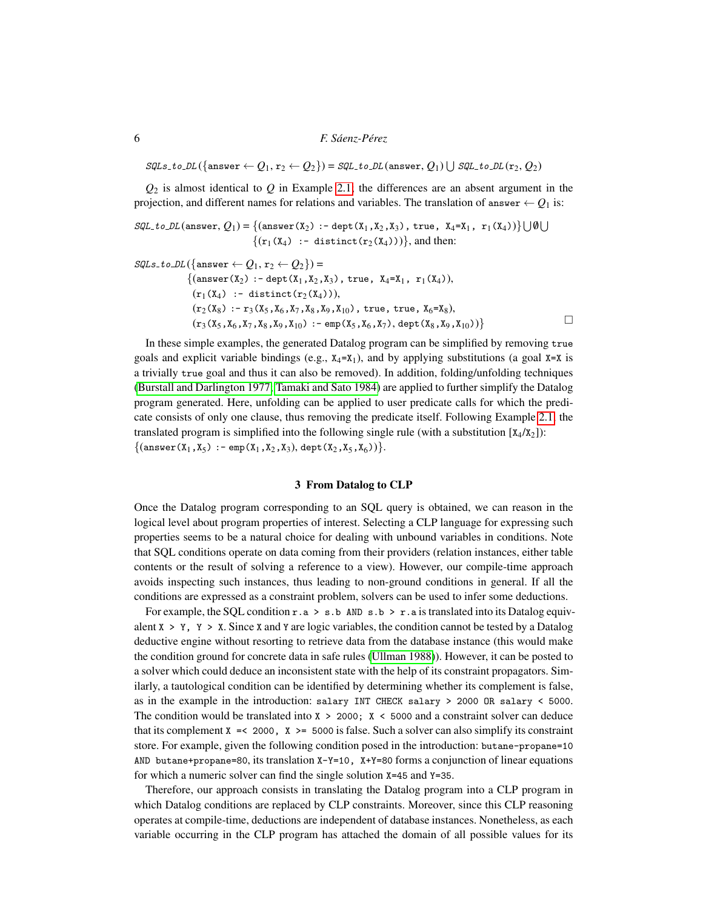$\textit{SQLs\_to\_DL}\left(\{\text{answer} \gets Q_1, \text{r}_2 \gets Q_2\}\right) = \textit{SQL\_to\_DL}\left(\text{answer}, Q_1\right) \bigcup \textit{SQL\_to\_DL}\left(\text{r}_2, Q_2\right)$ 

*Q*<sup>2</sup> is almost identical to *Q* in Example [2.1;](#page-4-1) the differences are an absent argument in the projection, and different names for relations and variables. The translation of answer  $\leftarrow Q_1$  is:

$$
SQL_to\_DL(\text{answer}, Q_1) = \{(\text{answer}(X_2) : -\text{dept}(X_1, X_2, X_3), \text{ true}, X_4 = X_1, r_1(X_4))\} \cup \emptyset \cup \{ (r_1(X_4) : -\text{distinct}(r_2(X_4))) \}, \text{ and then:}
$$

| $SQLs_to.DL(\{answer \leftarrow Q_1, r_2 \leftarrow Q_2\}) =$                            | $\{(answer(X_2) : -dept(X_1, X_2, X_3), true, X_4 = X_1, r_1(X_4)),$         |
|------------------------------------------------------------------------------------------|------------------------------------------------------------------------------|
| $(r_1(X_4) : - distinct(r_2(X_4))),$                                                     | $(r_2(X_8) : -r_3(X_5, X_6, X_7, X_8, X_9, X_{10}), true, true, X_6 = X_8),$ |
| $(r_3(X_5, X_6, X_7, X_8, X_9, X_{10}) : -emp(X_5, X_6, X_7), dept(X_8, X_9, X_{10}))\}$ |                                                                              |

In these simple examples, the generated Datalog program can be simplified by removing true goals and explicit variable bindings (e.g.,  $X_4 = X_1$ ), and by applying substitutions (a goal  $X = X$  is a trivially true goal and thus it can also be removed). In addition, folding/unfolding techniques [\(Burstall and Darlington 1977;](#page-15-9) [Tamaki and Sato 1984\)](#page-15-10) are applied to further simplify the Datalog program generated. Here, unfolding can be applied to user predicate calls for which the predicate consists of only one clause, thus removing the predicate itself. Following Example [2.1,](#page-4-1) the translated program is simplified into the following single rule (with a substitution  $[x_4/x_2]$ ):  $\{(\text{answer}(X_1,X_5) : \text{emp}(X_1,X_2,X_3), \text{dept}(X_2,X_5,X_6))\}.$ 

## 3 From Datalog to CLP

<span id="page-5-0"></span>Once the Datalog program corresponding to an SQL query is obtained, we can reason in the logical level about program properties of interest. Selecting a CLP language for expressing such properties seems to be a natural choice for dealing with unbound variables in conditions. Note that SQL conditions operate on data coming from their providers (relation instances, either table contents or the result of solving a reference to a view). However, our compile-time approach avoids inspecting such instances, thus leading to non-ground conditions in general. If all the conditions are expressed as a constraint problem, solvers can be used to infer some deductions.

For example, the SQL condition  $r.a > s.b$  AND  $s.b > r.a$  is translated into its Datalog equivalent  $X > Y$ ,  $Y > X$ . Since X and Y are logic variables, the condition cannot be tested by a Datalog deductive engine without resorting to retrieve data from the database instance (this would make the condition ground for concrete data in safe rules [\(Ullman 1988\)](#page-15-6)). However, it can be posted to a solver which could deduce an inconsistent state with the help of its constraint propagators. Similarly, a tautological condition can be identified by determining whether its complement is false, as in the example in the introduction: salary INT CHECK salary > 2000 OR salary < 5000. The condition would be translated into  $x > 2000$ ;  $x < 5000$  and a constraint solver can deduce that its complement  $X = \langle 2000, X \rangle = 5000$  is false. Such a solver can also simplify its constraint store. For example, given the following condition posed in the introduction: butane-propane=10 AND butane+propane=80, its translation X-Y=10, X+Y=80 forms a conjunction of linear equations for which a numeric solver can find the single solution X=45 and Y=35.

Therefore, our approach consists in translating the Datalog program into a CLP program in which Datalog conditions are replaced by CLP constraints. Moreover, since this CLP reasoning operates at compile-time, deductions are independent of database instances. Nonetheless, as each variable occurring in the CLP program has attached the domain of all possible values for its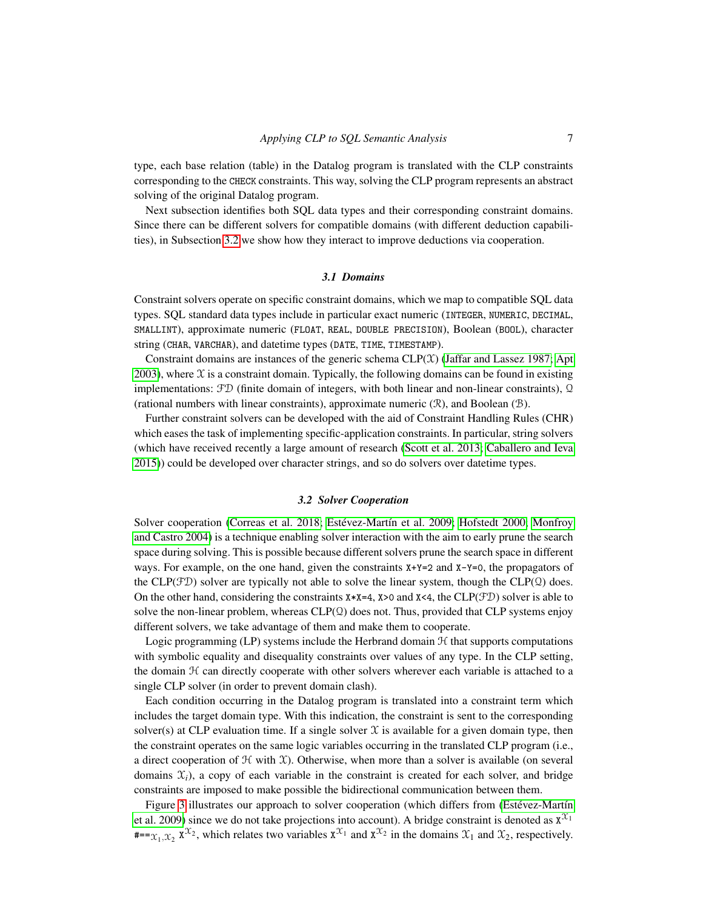type, each base relation (table) in the Datalog program is translated with the CLP constraints corresponding to the CHECK constraints. This way, solving the CLP program represents an abstract solving of the original Datalog program.

Next subsection identifies both SQL data types and their corresponding constraint domains. Since there can be different solvers for compatible domains (with different deduction capabilities), in Subsection [3.2](#page-6-0) we show how they interact to improve deductions via cooperation.

## *3.1 Domains*

Constraint solvers operate on specific constraint domains, which we map to compatible SQL data types. SQL standard data types include in particular exact numeric (INTEGER, NUMERIC, DECIMAL, SMALLINT), approximate numeric (FLOAT, REAL, DOUBLE PRECISION), Boolean (BOOL), character string (CHAR, VARCHAR), and datetime types (DATE, TIME, TIMESTAMP).

Constraint domains are instances of the generic schema  $CLP(\mathcal{X})$  [\(Jaffar and Lassez 1987;](#page-15-3) [Apt](#page-14-0) [2003\)](#page-14-0), where  $\chi$  is a constraint domain. Typically, the following domains can be found in existing implementations: FD (finite domain of integers, with both linear and non-linear constraints), Q (rational numbers with linear constraints), approximate numeric (R), and Boolean (B).

Further constraint solvers can be developed with the aid of Constraint Handling Rules (CHR) which eases the task of implementing specific-application constraints. In particular, string solvers (which have received recently a large amount of research [\(Scott et al. 2013;](#page-15-11) [Caballero and Ieva](#page-15-12) [2015\)](#page-15-12)) could be developed over character strings, and so do solvers over datetime types.

## *3.2 Solver Cooperation*

<span id="page-6-0"></span>Solver cooperation [\(Correas et al. 2018;](#page-15-13) Estévez-Martín et al. 2009; [Hofstedt 2000;](#page-15-4) [Monfroy](#page-15-15) [and Castro 2004\)](#page-15-15) is a technique enabling solver interaction with the aim to early prune the search space during solving. This is possible because different solvers prune the search space in different ways. For example, on the one hand, given the constraints  $x+y=2$  and  $x-y=0$ , the propagators of the CLP( $\mathcal{F}(\mathcal{D})$ ) solver are typically not able to solve the linear system, though the CLP( $\mathcal{Q}$ ) does. On the other hand, considering the constraints  $x \times x = 4$ ,  $x > 0$  and  $x < 4$ , the CLP( $\mathcal{FD}$ ) solver is able to solve the non-linear problem, whereas  $CLP(\mathcal{Q})$  does not. Thus, provided that CLP systems enjoy different solvers, we take advantage of them and make them to cooperate.

Logic programming  $(LP)$  systems include the Herbrand domain  $H$  that supports computations with symbolic equality and disequality constraints over values of any type. In the CLP setting, the domain  $H$  can directly cooperate with other solvers wherever each variable is attached to a single CLP solver (in order to prevent domain clash).

Each condition occurring in the Datalog program is translated into a constraint term which includes the target domain type. With this indication, the constraint is sent to the corresponding solver(s) at CLP evaluation time. If a single solver  $X$  is available for a given domain type, then the constraint operates on the same logic variables occurring in the translated CLP program (i.e., a direct cooperation of  $H$  with  $X$ ). Otherwise, when more than a solver is available (on several domains  $\mathcal{X}_i$ ), a copy of each variable in the constraint is created for each solver, and bridge constraints are imposed to make possible the bidirectional communication between them.

Figure [3](#page-7-0) illustrates our approach to solver cooperation (which differs from (Estévez-Martín [et al. 2009\)](#page-15-14) since we do not take projections into account). A bridge constraint is denoted as  $x^{\mathfrak{X}_1}$  $\sharp = \chi_1, \chi_2$   $\chi^{\chi_2}$ , which relates two variables  $\chi^{\chi_1}$  and  $\chi^{\chi_2}$  in the domains  $\chi_1$  and  $\chi_2$ , respectively.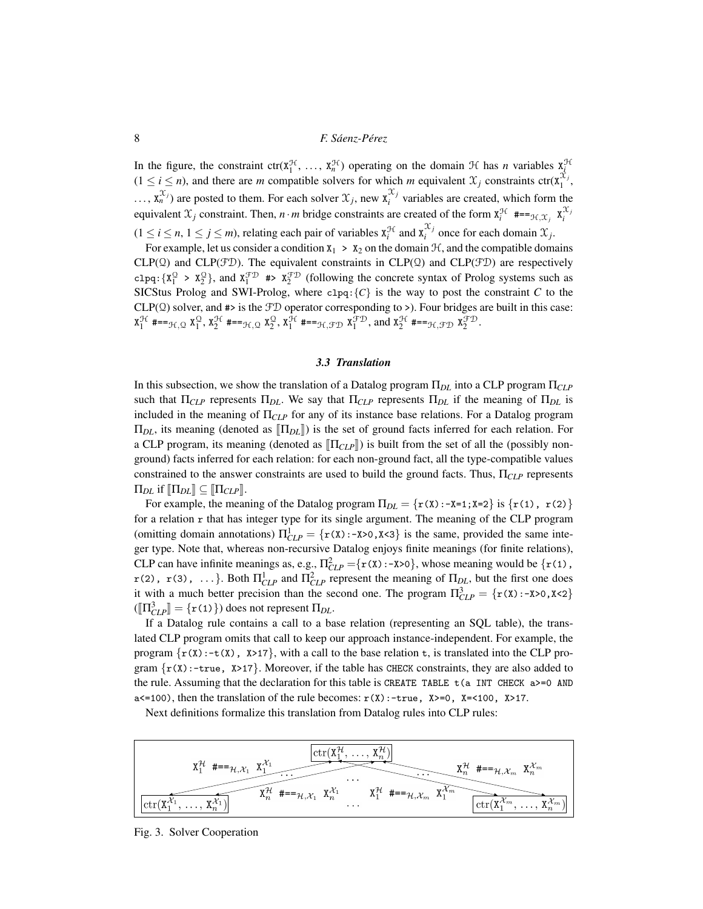# 8 *F. Sáenz-Pérez*

In the figure, the constraint ctr( $X_1^{\mathcal{H}}$ , ...,  $X_n^{\mathcal{H}}$ ) operating on the domain  $\mathcal{H}$  has *n* variables  $X_i^{\mathcal{H}}$  $(1 \le i \le n)$ , and there are *m* compatible solvers for which *m* equivalent  $\mathcal{X}_j$  constraints ctr( $\mathbf{X}_i^{\mathcal{X}_j}$ ,  $\ldots$ ,  $\mathbf{x}_n^{\mathcal{X}_j}$  are posted to them. For each solver  $\mathcal{X}_j$ , new  $\mathbf{x}_i^{\mathcal{X}_j}$  variables are created, which form the equivalent  $\mathfrak{X}_j$  constraint. Then, *n* · *m* bridge constraints are created of the form  $\mathbf{x}_i^{\mathcal{H}}$   $\ast = -\mathfrak{g}_{\epsilon,\mathfrak{X}_j} \mathbf{x}_i^{\mathcal{X}_j}$  $(1 \le i \le n, 1 \le j \le m)$ , relating each pair of variables  $\mathbf{x}_i^{\mathcal{H}}$  and  $\mathbf{x}_i^{\mathcal{X}_j}$  once for each domain  $\mathcal{X}_j$ .

For example, let us consider a condition  $x_1 > x_2$  on the domain  $H$ , and the compatible domains  $CLP(\mathcal{Q})$  and  $CLP(\mathcal{FD})$ . The equivalent constraints in  $CLP(\mathcal{Q})$  and  $CLP(\mathcal{FD})$  are respectively clpq:  $\{X_1^Q > X_2^Q\}$ , and  $X_1^{\mathcal{FD}} \neq X_2^{\mathcal{FD}}$  (following the concrete syntax of Prolog systems such as SICStus Prolog and SWI-Prolog, where  $c1pq:$   $\{C\}$  is the way to post the constraint *C* to the  $CLP(Q)$  solver, and  $\#$  is the  $\mathcal{FD}$  operator corresponding to  $\geq$ ). Four bridges are built in this case:  $X_1^{\mathcal{H}}$  #==<sub>H,Q</sub>  $X_2^{\mathcal{H}}$ , x<sub>2</sub><sup>H</sup> +==<sub>H,Q</sub>  $X_2^{\mathcal{H}}$ ,  $X_1^{\mathcal{H}}$  #==<sub>H,JD</sub>  $X_1^{\mathcal{H}}$  +==<sub>H,JD</sub>  $X_2^{\mathcal{H}}$ .

# *3.3 Translation*

<span id="page-7-1"></span>In this subsection, we show the translation of a Datalog program Π*DL* into a CLP program Π*CLP* such that Π*CLP* represents Π*DL*. We say that Π*CLP* represents Π*DL* if the meaning of Π*DL* is included in the meaning of Π*CLP* for any of its instance base relations. For a Datalog program  $\Pi_{DL}$ , its meaning (denoted as  $\Pi_{DL}$ ) is the set of ground facts inferred for each relation. For a CLP program, its meaning (denoted as  $\[\Pi_{CLP}\]$ ) is built from the set of all the (possibly nonground) facts inferred for each relation: for each non-ground fact, all the type-compatible values constrained to the answer constraints are used to build the ground facts. Thus, Π*CLP* represents  $\Pi_{DL}$  if  $\Pi_{DL} \leq \mathcal{I} \Pi_{CLP}$ .

For example, the meaning of the Datalog program  $\Pi_{DL} = {r(x) : -x=1; x=2}$  is  ${r(1), r(2)}$ for a relation r that has integer type for its single argument. The meaning of the CLP program (omitting domain annotations)  $\Pi_{CLP}^1 = \{x(x) : -x>0, x<3\}$  is the same, provided the same integer type. Note that, whereas non-recursive Datalog enjoys finite meanings (for finite relations), CLP can have infinite meanings as, e.g.,  $\Pi_{CLP}^2 = {\mathbf{r}(x) : -x > 0}$ , whose meaning would be  ${\mathbf{r}(1)}$ ,  $r(2)$ ,  $r(3)$ , ...}. Both  $\Pi_{CLP}^1$  and  $\Pi_{CLP}^2$  represent the meaning of  $\Pi_{DL}$ , but the first one does it with a much better precision than the second one. The program  $\Pi_{CLP}^3 = \{r(x) : -x > 0, x < 2\}$  $(\llbracket \Pi_{CLP}^3 \rrbracket = {\mathbf{r}(1)}$  does not represent  $\Pi_{DL}$ .

If a Datalog rule contains a call to a base relation (representing an SQL table), the translated CLP program omits that call to keep our approach instance-independent. For example, the program  $\{r(x):-t(x), x>17\}$ , with a call to the base relation t, is translated into the CLP program  $\{r(X):$ -true, X>17 $\}$ . Moreover, if the table has CHECK constraints, they are also added to the rule. Assuming that the declaration for this table is CREATE TABLE  $t$  (a INT CHECK a>=0 AND  $a \le 100$ , then the translation of the rule becomes:  $r(X)$ :-true,  $X \ge 0$ ,  $X \le 100$ ,  $X \ge 17$ .

Next definitions formalize this translation from Datalog rules into CLP rules:



<span id="page-7-0"></span>Fig. 3. Solver Cooperation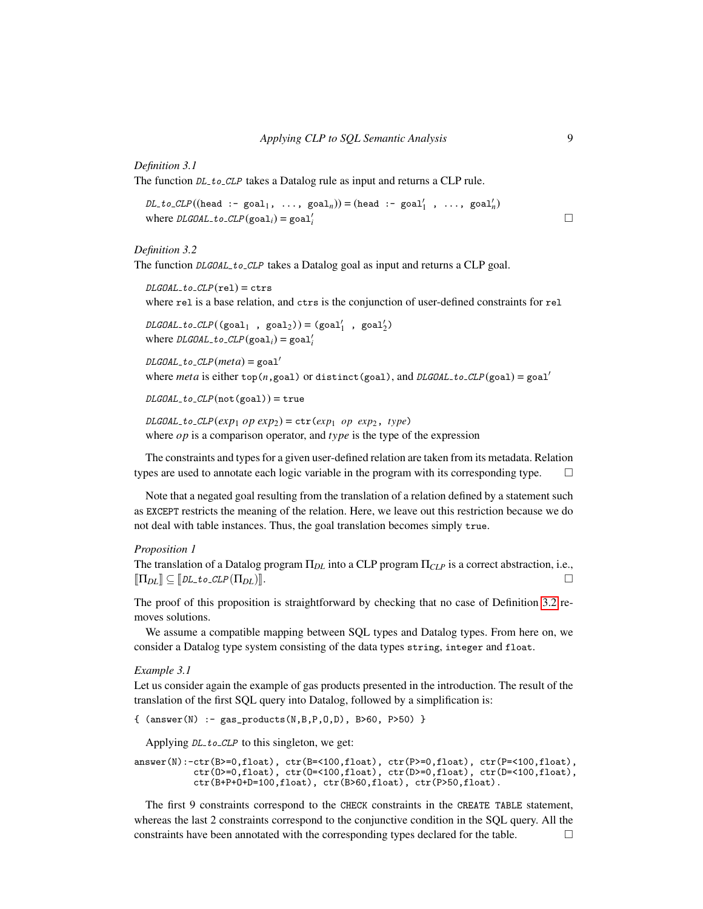*Definition 3.1*

The function *DL\_to\_CLP* takes a Datalog rule as input and returns a CLP rule.

 $DL\_to\_CLP((head := goal_1, ..., goal_n)) = (head := goal'_1, ..., goal'_n)$ where  $DLGOL\_to\_CLP$  (goal<sub>i</sub>) = goal<sup>'</sup> *i*<sup>*i*</sup> and *i*<sup>i</sup> and *i*<sup>i</sup> and *i*<sup>i</sup> and *i*<sup>i</sup> and *i*<sup>i</sup> and *i*<sup>i</sup> and *i*<sup>i</sup> and *i*<sup>i</sup> and *i*<sup>i</sup> and *i*<sup>i</sup> and *i*<sup>i</sup> and *i*<sup>i</sup> and *i*<sup>i</sup> and *i*<sup>i</sup> and *i*<sup>i</sup> and *i* and *i* and *i* and *i* and *i* and *i* 

<span id="page-8-0"></span>*Definition 3.2*

The function DLGOAL\_to\_CLP takes a Datalog goal as input and returns a CLP goal.

 $DLGOLL_to_CLP(\text{rel}) = \text{ctrs}$ where rel is a base relation, and ctrs is the conjunction of user-defined constraints for rel

 $\text{DLGOLL\_to\_CLP}((\text{goal}_1, \text{goal}_2)) = (\text{goal}_1', \text{goal}_2')$ where  $\textit{DLGOLL-to-CLP}(\texttt{goal}_i) = \texttt{goal}'_i$ 

 $DLGOL_$ *to\_CLP* ( $meta$ ) = goal' where *meta* is either top(*n*,goal) or distinct(goal), and *DLGOAL* to CLP(goal) = goal<sup>'</sup>

 $DLGOL\_to\_CLP(\text{not}(\text{goal})) = \text{true}$ 

```
DLGUAL_to<sub>-</sub>CLP(exp_1 op exp_2) = ctr(exp_1 op exp_2, type)
where op is a comparison operator, and type is the type of the expression
```
The constraints and types for a given user-defined relation are taken from its metadata. Relation types are used to annotate each logic variable in the program with its corresponding type.

Note that a negated goal resulting from the translation of a relation defined by a statement such as EXCEPT restricts the meaning of the relation. Here, we leave out this restriction because we do not deal with table instances. Thus, the goal translation becomes simply true.

## <span id="page-8-1"></span>*Proposition 1*

The translation of a Datalog program Π*DL* into a CLP program Π*CLP* is a correct abstraction, i.e.,  $\llbracket \Pi_{DL} \rrbracket \subseteq \llbracket \textit{DL-to\_CLP}(\Pi_{DL}) \rrbracket.$ 

The proof of this proposition is straightforward by checking that no case of Definition [3.2](#page-8-0) removes solutions.

We assume a compatible mapping between SQL types and Datalog types. From here on, we consider a Datalog type system consisting of the data types string, integer and float.

## *Example 3.1*

Let us consider again the example of gas products presented in the introduction. The result of the translation of the first SQL query into Datalog, followed by a simplification is:

```
{ (answer(N) :- gas_products(N,B,P,O,D), B>60, P>50) }
```
Applying  $DL_to$ - $CLP$  to this singleton, we get:

```
answer(N):-ctr(B>=0,float), ctr(B=<100,float), ctr(P>=0,float), ctr(P=<100,float),
           ctr(O>=0,float), ctr(O=<100,float), ctr(D>=0,float), ctr(D=<100,float),
           ctr(B+P+O+D=100,float), ctr(B>60,float), ctr(P>50,float).
```
The first 9 constraints correspond to the CHECK constraints in the CREATE TABLE statement, whereas the last 2 constraints correspond to the conjunctive condition in the SQL query. All the constraints have been annotated with the corresponding types declared for the table.  $\Box$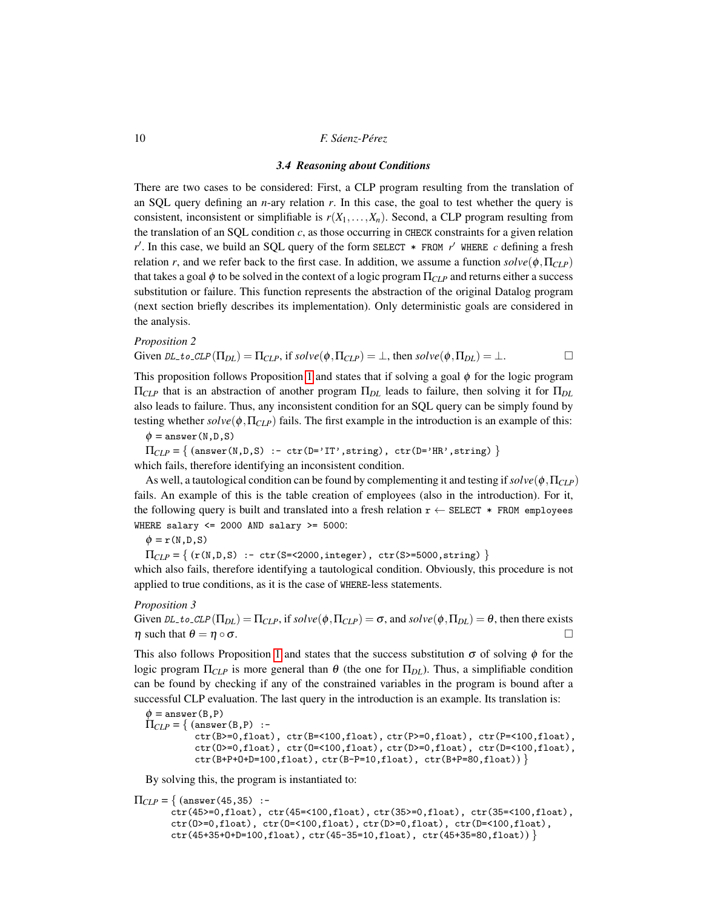#### *3.4 Reasoning about Conditions*

<span id="page-9-0"></span>There are two cases to be considered: First, a CLP program resulting from the translation of an SQL query defining an *n*-ary relation *r*. In this case, the goal to test whether the query is consistent, inconsistent or simplifiable is  $r(X_1,...,X_n)$ . Second, a CLP program resulting from the translation of an SQL condition  $c$ , as those occurring in CHECK constraints for a given relation  $r'$ . In this case, we build an SQL query of the form SELECT  $*$  FROM  $r'$  WHERE *c* defining a fresh relation *r*, and we refer back to the first case. In addition, we assume a function  $\text{solve}(\phi, \Pi_{CLP})$ that takes a goal  $\phi$  to be solved in the context of a logic program  $\Pi_{CLP}$  and returns either a success substitution or failure. This function represents the abstraction of the original Datalog program (next section briefly describes its implementation). Only deterministic goals are considered in the analysis.

### *Proposition 2*

Given  $DL\_to\_CLP(\Pi_{DL}) = \Pi_{CLP}$ , if  $solve(\phi, \Pi_{CLP}) = \bot$ , then  $solve(\phi, \Pi_{DL}) = \bot$ .

This proposition follows Proposition [1](#page-8-1) and states that if solving a goal  $\phi$  for the logic program Π*CLP* that is an abstraction of another program Π*DL* leads to failure, then solving it for Π*DL* also leads to failure. Thus, any inconsistent condition for an SQL query can be simply found by testing whether  $solve(\phi, \Pi_{CLP})$  fails. The first example in the introduction is an example of this:

 $\phi$  = answer(N,D,S)

 $\Pi_{CLP} = \{ (answer(N, D, S) : - \text{ctr}(D='IT', string), \text{ctr}(D='HR', string) \}$ which fails, therefore identifying an inconsistent condition.

As well, a tautological condition can be found by complementing it and testing if*solve*(φ,Π*CLP*) fails. An example of this is the table creation of employees (also in the introduction). For it, the following query is built and translated into a fresh relation  $r \leftarrow$  SELECT  $*$  FROM employees WHERE salary <= 2000 AND salary >= 5000:

 $\phi = r(N,D,S)$ 

 $\Pi_{CLP} = \{ (r(N,D,S) : - \text{ctr}(S = 2000, \text{integer}), \text{ctr}(S > 5000, \text{string}) \}$ 

which also fails, therefore identifying a tautological condition. Obviously, this procedure is not applied to true conditions, as it is the case of WHERE-less statements.

#### *Proposition 3*

Given  $DL\_to\_CLP(\Pi_{DL}) = \Pi_{CLP}$ , if  $solve(\phi, \Pi_{CLP}) = \sigma$ , and  $solve(\phi, \Pi_{DL}) = \theta$ , then there exists  $\eta$  such that  $\theta = \eta \circ \sigma$ .

This also follows Proposition [1](#page-8-1) and states that the success substitution  $\sigma$  of solving  $\phi$  for the logic program  $\Pi$ <sub>CLP</sub> is more general than θ (the one for  $\Pi$ <sub>DL</sub>). Thus, a simplifiable condition can be found by checking if any of the constrained variables in the program is bound after a successful CLP evaluation. The last query in the introduction is an example. Its translation is:

 $\phi$  = answer(B,P)  $\Pi_{CLP}$  = { (answer(B,P) : $ctr(B>=0,fload)$ ,  $ctr(B=<100,fload)$ ,  $ctr(P>=0,fload)$ ,  $ctr(P=<100,fload)$ , ctr(O>=0,float), ctr(O=<100,float), ctr(D>=0,float), ctr(D=<100,float),  $ctr(B+P+O+D=100, float), crr(B-P=10, float), crr(B+P=80, float))$ 

By solving this, the program is instantiated to:

```
\Pi_{CLP} = \{ (answer (45, 35) : -ctr(45>=0,float), ctr(45=<100,float), ctr(35>=0,float), ctr(35=<100,float),
       ctr(O>=0,float), ctr(O=<100,float), ctr(D>=0,float), ctr(D=<100,float),
       ctr(45+35+0+D=100, float), ctr(45-35=10, float), ctr(45+35=80, float)
```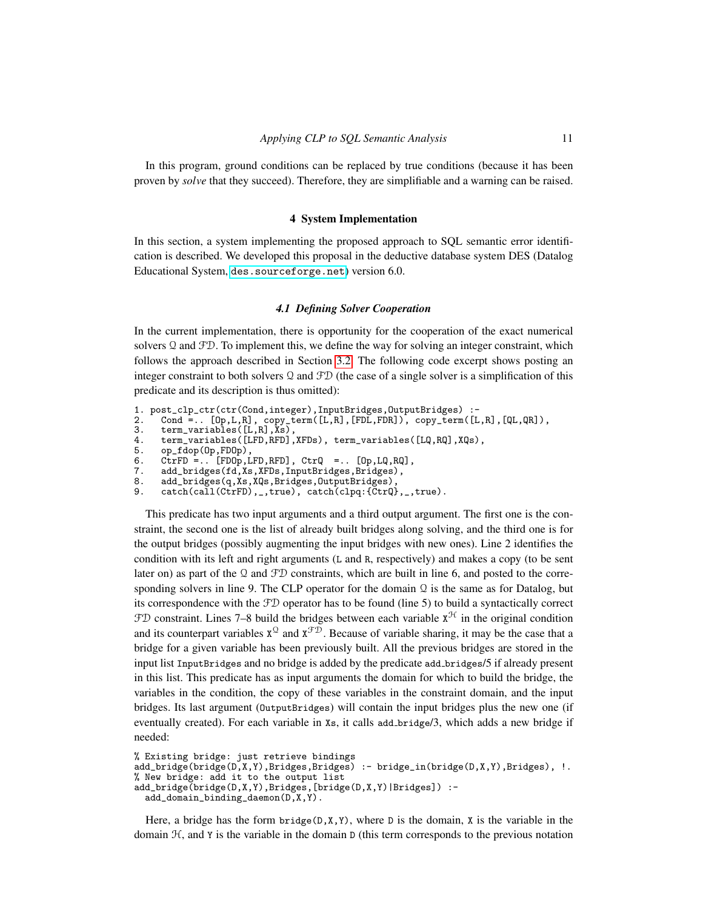In this program, ground conditions can be replaced by true conditions (because it has been proven by *solve* that they succeed). Therefore, they are simplifiable and a warning can be raised.

#### 4 System Implementation

<span id="page-10-0"></span>In this section, a system implementing the proposed approach to SQL semantic error identification is described. We developed this proposal in the deductive database system DES (Datalog Educational System, <des.sourceforge.net>) version 6.0.

## *4.1 Defining Solver Cooperation*

In the current implementation, there is opportunity for the cooperation of the exact numerical solvers  $\Omega$  and  $\mathcal{FD}$ . To implement this, we define the way for solving an integer constraint, which follows the approach described in Section [3.2.](#page-6-0) The following code excerpt shows posting an integer constraint to both solvers  $\Omega$  and  $\mathcal{FD}$  (the case of a single solver is a simplification of this predicate and its description is thus omitted):

```
1. post_clp_ctr(ctr(Cond,integer),InputBridges,OutputBridges) :-
```

```
2. Cond =.. [Op,L,R], copy_term([L,R], [FDL,FDR]), copy_term([L,R], [QL,QR]), term_variables([L,R], Xs),
```

```
3. term_variables([L,R],Xs)<br>4. term variables([LFD.RFD]
```

```
4. term_variables([LFD,RFD],XFDs), term_variables([LQ,RQ],XQs),<br>5. op fdop(Op.FDOp).
```

```
5. op_fdop(Op,FDOp),<br>6. CtrFD =.. [FDOp,L
```

```
6. C\overline{t}rFD = . [FDOp, LFD, RFD], CtrQ = . [Op, LQ, RQ], 7 add bridges (fd. Xs. XFDs. InputBridges, Bridges),
```
- 7. add\_bridges(fd,Xs,XFDs,InputBridges,Bridges),<br>8. add bridges(g.Xs.XQs.Bridges.OutputBridges).
- 8. add\_bridges(q,Xs,XQs,Bridges,OutputBridges),<br>9. catch(call(CtrFD), true), catch(clpg:{CtrD)

```
catch(call(CtrFD),_,true), catch(clpq:{CtrQ},_,true).
```
This predicate has two input arguments and a third output argument. The first one is the constraint, the second one is the list of already built bridges along solving, and the third one is for the output bridges (possibly augmenting the input bridges with new ones). Line 2 identifies the condition with its left and right arguments (L and R, respectively) and makes a copy (to be sent later on) as part of the  $\Omega$  and  $\mathcal{FD}$  constraints, which are built in line 6, and posted to the corresponding solvers in line 9. The CLP operator for the domain  $\Omega$  is the same as for Datalog, but its correspondence with the FD operator has to be found (line 5) to build a syntactically correct  $FD$  constraint. Lines 7–8 build the bridges between each variable  $x^{H}$  in the original condition and its counterpart variables  $x^{\Omega}$  and  $x^{\mathcal{FD}}$ . Because of variable sharing, it may be the case that a bridge for a given variable has been previously built. All the previous bridges are stored in the input list InputBridges and no bridge is added by the predicate add bridges/5 if already present in this list. This predicate has as input arguments the domain for which to build the bridge, the variables in the condition, the copy of these variables in the constraint domain, and the input bridges. Its last argument (OutputBridges) will contain the input bridges plus the new one (if eventually created). For each variable in Xs, it calls add bridge/3, which adds a new bridge if needed:

```
% Existing bridge: just retrieve bindings
add_bridge(bridge(D,X,Y),Bridges,Bridges) :- bridge_in(bridge(D,X,Y),Bridges), !.
% New bridge: add it to the output list
add_bridge(bridge(D,X,Y),Bridges,[bridge(D,X,Y)|Bridges]) :-
  add_domain_binding_daemon(D,X,Y).
```
Here, a bridge has the form  $\text{bridge}(D, X, Y)$ , where D is the domain, X is the variable in the domain  $H$ , and Y is the variable in the domain D (this term corresponds to the previous notation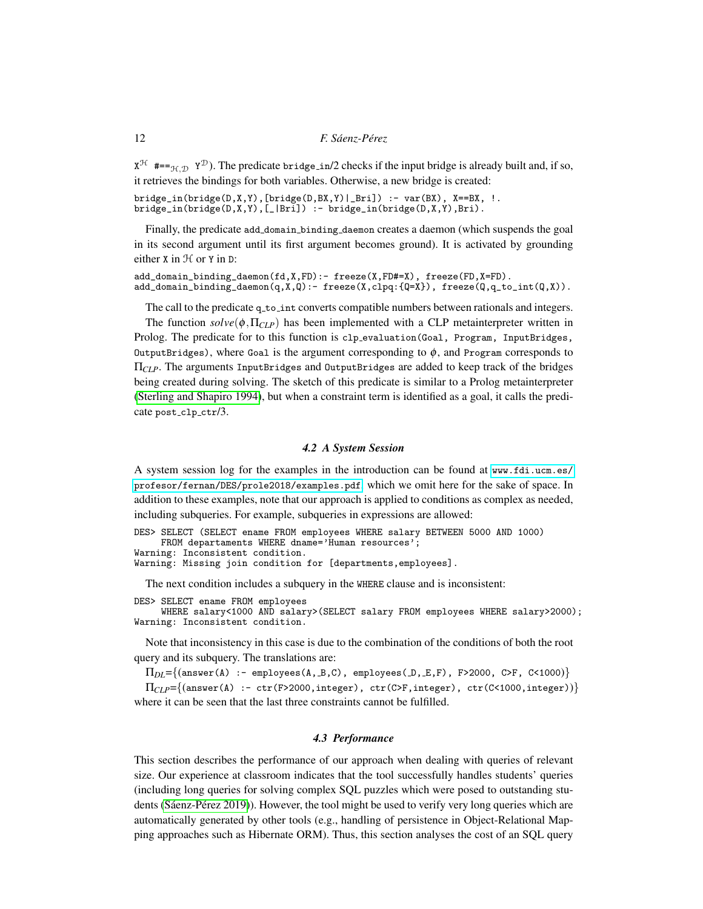$X^{\mathcal{H}}$  #== $_{\mathcal{H}}$   $_{\mathcal{D}}$   $Y^{\mathcal{D}}$ ). The predicate bridge in/2 checks if the input bridge is already built and, if so, it retrieves the bindings for both variables. Otherwise, a new bridge is created:

bridge\_in(bridge(D,X,Y),[bridge(D,BX,Y)|\_Bri]) :- var(BX), X==BX, !. bridge\_in(bridge(D,X,Y),[\_|Bri]) :- bridge\_in(bridge(D,X,Y),Bri).

Finally, the predicate add domain binding daemon creates a daemon (which suspends the goal in its second argument until its first argument becomes ground). It is activated by grounding either  $X$  in  $H$  or  $Y$  in  $D$ :

```
add_domain_binding_daemon(fd,X,FD):- freeze(X,FD#=X), freeze(FD,X=FD).
add_domain_binding_daemon(q,X,Q):- freeze(X,clpq:{Q=X}), freeze(Q,q_to_int(Q,X)).
```
The call to the predicate q\_to\_int converts compatible numbers between rationals and integers. The function  $solve(\phi, \Pi_{CLP})$  has been implemented with a CLP metainterpreter written in Prolog. The predicate for to this function is clp\_evaluation(Goal, Program, InputBridges, OutputBridges), where Goal is the argument corresponding to  $\phi$ , and Program corresponds to Π*CLP*. The arguments InputBridges and OutputBridges are added to keep track of the bridges being created during solving. The sketch of this predicate is similar to a Prolog metainterpreter

[\(Sterling and Shapiro 1994\)](#page-15-16), but when a constraint term is identified as a goal, it calls the predi-

## *4.2 A System Session*

A system session log for the examples in the introduction can be found at [www.fdi.ucm.es/](www.fdi.ucm.es/profesor/fernan/DES/prole2018/examples.pdf) [profesor/fernan/DES/prole2018/examples.pdf](www.fdi.ucm.es/profesor/fernan/DES/prole2018/examples.pdf), which we omit here for the sake of space. In addition to these examples, note that our approach is applied to conditions as complex as needed, including subqueries. For example, subqueries in expressions are allowed:

```
DES> SELECT (SELECT ename FROM employees WHERE salary BETWEEN 5000 AND 1000)
     FROM departaments WHERE dname='Human resources';
Warning: Inconsistent condition.
Warning: Missing join condition for [departments,employees].
```
The next condition includes a subquery in the WHERE clause and is inconsistent:

```
DES> SELECT ename FROM employees
     WHERE salary<1000 AND salary>(SELECT salary FROM employees WHERE salary>2000);
Warning: Inconsistent condition.
```
Note that inconsistency in this case is due to the combination of the conditions of both the root query and its subquery. The translations are:

Π*DL*={(answer(A) :- employees(A, B,C), employees( D, E,F), F>2000, C>F, C<1000)} Π*CLP*={(answer(A) :- ctr(F>2000,integer), ctr(C>F,integer), ctr(C<1000,integer))} where it can be seen that the last three constraints cannot be fulfilled.

# *4.3 Performance*

This section describes the performance of our approach when dealing with queries of relevant size. Our experience at classroom indicates that the tool successfully handles students' queries (including long queries for solving complex SQL puzzles which were posed to outstanding students (Sáenz-Pérez 2019)). However, the tool might be used to verify very long queries which are automatically generated by other tools (e.g., handling of persistence in Object-Relational Mapping approaches such as Hibernate ORM). Thus, this section analyses the cost of an SQL query

cate post\_clp\_ctr/3.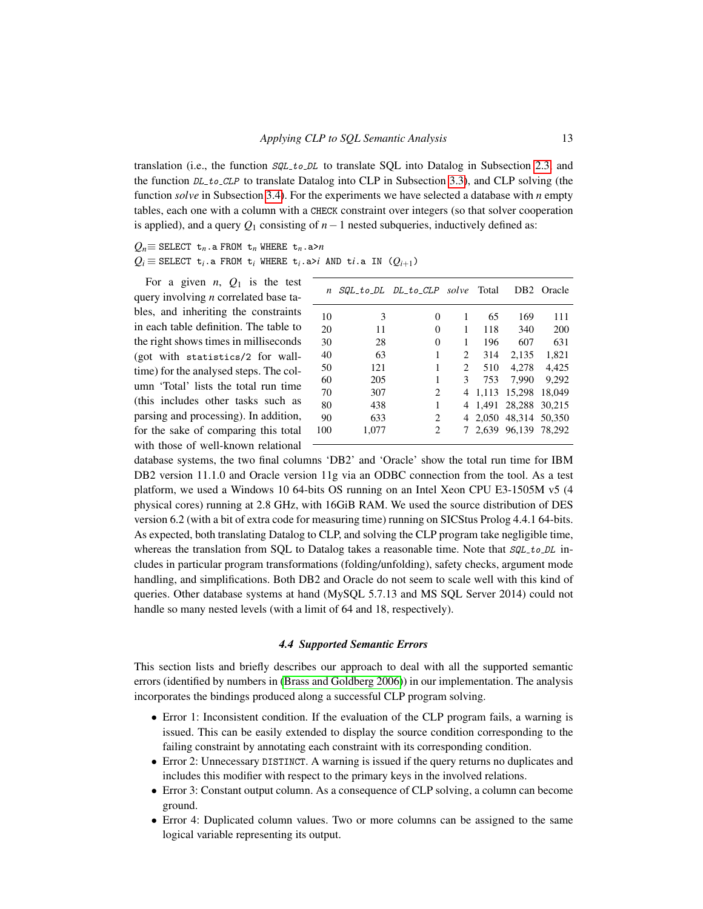translation (i.e., the function  $SQL_to$  DL to translate SQL into Datalog in Subsection [2.3,](#page-3-2) and the function  $DL_to_CLP$  to translate Datalog into CLP in Subsection [3.3\)](#page-7-1), and CLP solving (the function *solve* in Subsection [3.4\)](#page-9-0). For the experiments we have selected a database with *n* empty tables, each one with a column with a CHECK constraint over integers (so that solver cooperation is applied), and a query  $Q_1$  consisting of  $n-1$  nested subqueries, inductively defined as:

 $Q_n$ ≡ SELECT  $t_n$ .a FROM  $t_n$  WHERE  $t_n$ .a>*n* 

 $Q_i$  ≡ SELECT t<sub>*i*</sub>.a FROM t<sub>*i*</sub> WHERE t<sub>*i*</sub>.a>*i* AND t*i*.a IN ( $Q_{i+1}$ )

For a given  $n$ ,  $Q_1$  is the test query involving *n* correlated base tables, and inheriting the constraints in each table definition. The table to the right shows times in milliseconds (got with statistics/2 for walltime) for the analysed steps. The column 'Total' lists the total run time (this includes other tasks such as parsing and processing). In addition, for the sake of comparing this total with those of well-known relational

| n   |       | <i>SQL_to_DL DL_to_CLP</i> | solve | Total |        | DB <sub>2</sub> Oracle |
|-----|-------|----------------------------|-------|-------|--------|------------------------|
| 10  | 3     | 0                          | 1     | 65    | 169    | 111                    |
| 20  | 11    | 0                          | 1     | 118   | 340    | 200                    |
| 30  | 28    | 0                          | 1     | 196   | 607    | 631                    |
| 40  | 63    | 1                          | 2     | 314   | 2,135  | 1,821                  |
| 50  | 121   | 1                          | 2     | 510   | 4.278  | 4.425                  |
| 60  | 205   | 1                          | 3     | 753   | 7.990  | 9.292                  |
| 70  | 307   | 2                          | 4     | 1.113 | 15.298 | 18.049                 |
| 80  | 438   | 1                          | 4     | 1.491 | 28,288 | 30.215                 |
| 90  | 633   | 2                          | 4     | 2.050 | 48.314 | 50,350                 |
| 100 | 1.077 | 2                          |       | 2.639 | 96,139 | 78,292                 |

database systems, the two final columns 'DB2' and 'Oracle' show the total run time for IBM DB2 version 11.1.0 and Oracle version 11g via an ODBC connection from the tool. As a test platform, we used a Windows 10 64-bits OS running on an Intel Xeon CPU E3-1505M v5 (4 physical cores) running at 2.8 GHz, with 16GiB RAM. We used the source distribution of DES version 6.2 (with a bit of extra code for measuring time) running on SICStus Prolog 4.4.1 64-bits. As expected, both translating Datalog to CLP, and solving the CLP program take negligible time, whereas the translation from SQL to Datalog takes a reasonable time. Note that  $SQL\_to$  DL includes in particular program transformations (folding/unfolding), safety checks, argument mode handling, and simplifications. Both DB2 and Oracle do not seem to scale well with this kind of queries. Other database systems at hand (MySQL 5.7.13 and MS SQL Server 2014) could not handle so many nested levels (with a limit of 64 and 18, respectively).

## *4.4 Supported Semantic Errors*

<span id="page-12-0"></span>This section lists and briefly describes our approach to deal with all the supported semantic errors (identified by numbers in [\(Brass and Goldberg 2006\)](#page-15-1)) in our implementation. The analysis incorporates the bindings produced along a successful CLP program solving.

- Error 1: Inconsistent condition. If the evaluation of the CLP program fails, a warning is issued. This can be easily extended to display the source condition corresponding to the failing constraint by annotating each constraint with its corresponding condition.
- Error 2: Unnecessary DISTINCT. A warning is issued if the query returns no duplicates and includes this modifier with respect to the primary keys in the involved relations.
- Error 3: Constant output column. As a consequence of CLP solving, a column can become ground.
- Error 4: Duplicated column values. Two or more columns can be assigned to the same logical variable representing its output.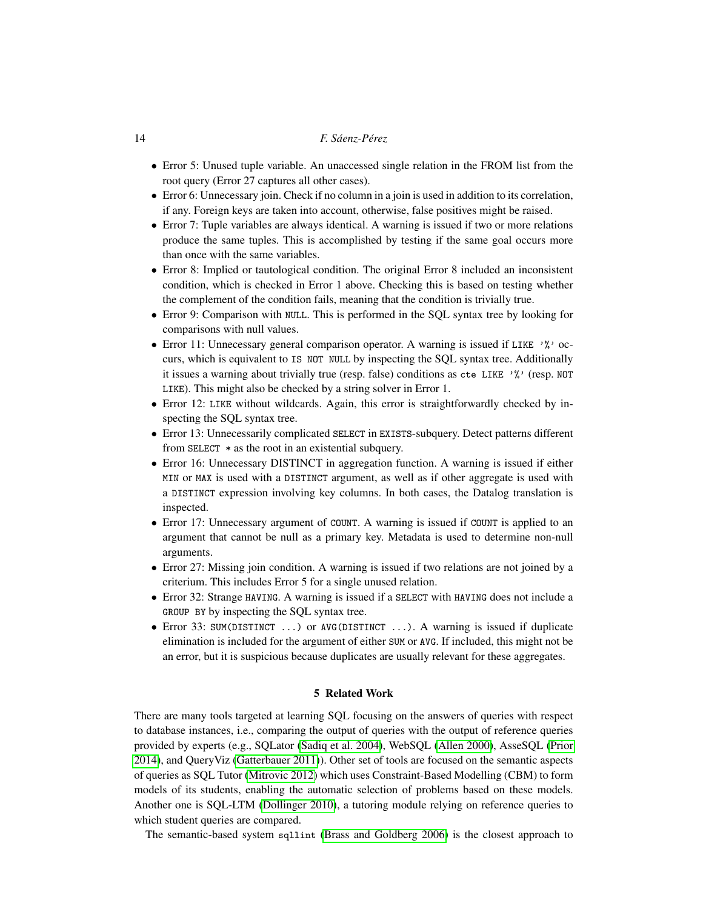- Error 5: Unused tuple variable. An unaccessed single relation in the FROM list from the root query (Error 27 captures all other cases).
- Error 6: Unnecessary join. Check if no column in a join is used in addition to its correlation, if any. Foreign keys are taken into account, otherwise, false positives might be raised.
- Error 7: Tuple variables are always identical. A warning is issued if two or more relations produce the same tuples. This is accomplished by testing if the same goal occurs more than once with the same variables.
- Error 8: Implied or tautological condition. The original Error 8 included an inconsistent condition, which is checked in Error 1 above. Checking this is based on testing whether the complement of the condition fails, meaning that the condition is trivially true.
- Error 9: Comparison with NULL. This is performed in the SQL syntax tree by looking for comparisons with null values.
- Error 11: Unnecessary general comparison operator. A warning is issued if LIKE '%' occurs, which is equivalent to IS NOT NULL by inspecting the SQL syntax tree. Additionally it issues a warning about trivially true (resp. false) conditions as cte LIKE '%' (resp. NOT LIKE). This might also be checked by a string solver in Error 1.
- Error 12: LIKE without wildcards. Again, this error is straightforwardly checked by inspecting the SQL syntax tree.
- Error 13: Unnecessarily complicated SELECT in EXISTS-subquery. Detect patterns different from SELECT \* as the root in an existential subquery.
- Error 16: Unnecessary DISTINCT in aggregation function. A warning is issued if either MIN or MAX is used with a DISTINCT argument, as well as if other aggregate is used with a DISTINCT expression involving key columns. In both cases, the Datalog translation is inspected.
- Error 17: Unnecessary argument of COUNT. A warning is issued if COUNT is applied to an argument that cannot be null as a primary key. Metadata is used to determine non-null arguments.
- Error 27: Missing join condition. A warning is issued if two relations are not joined by a criterium. This includes Error 5 for a single unused relation.
- Error 32: Strange HAVING. A warning is issued if a SELECT with HAVING does not include a GROUP BY by inspecting the SQL syntax tree.
- Error 33: SUM(DISTINCT ...) or AVG(DISTINCT ...). A warning is issued if duplicate elimination is included for the argument of either SUM or AVG. If included, this might not be an error, but it is suspicious because duplicates are usually relevant for these aggregates.

#### 5 Related Work

<span id="page-13-0"></span>There are many tools targeted at learning SQL focusing on the answers of queries with respect to database instances, i.e., comparing the output of queries with the output of reference queries provided by experts (e.g., SQLator [\(Sadiq et al. 2004\)](#page-15-18), WebSQL [\(Allen 2000\)](#page-14-2), AsseSQL [\(Prior](#page-15-19) [2014\)](#page-15-19), and QueryViz [\(Gatterbauer 2011\)](#page-15-20)). Other set of tools are focused on the semantic aspects of queries as SQL Tutor [\(Mitrovic 2012\)](#page-15-21) which uses Constraint-Based Modelling (CBM) to form models of its students, enabling the automatic selection of problems based on these models. Another one is SQL-LTM [\(Dollinger 2010\)](#page-15-22), a tutoring module relying on reference queries to which student queries are compared.

The semantic-based system sqllint [\(Brass and Goldberg 2006\)](#page-15-1) is the closest approach to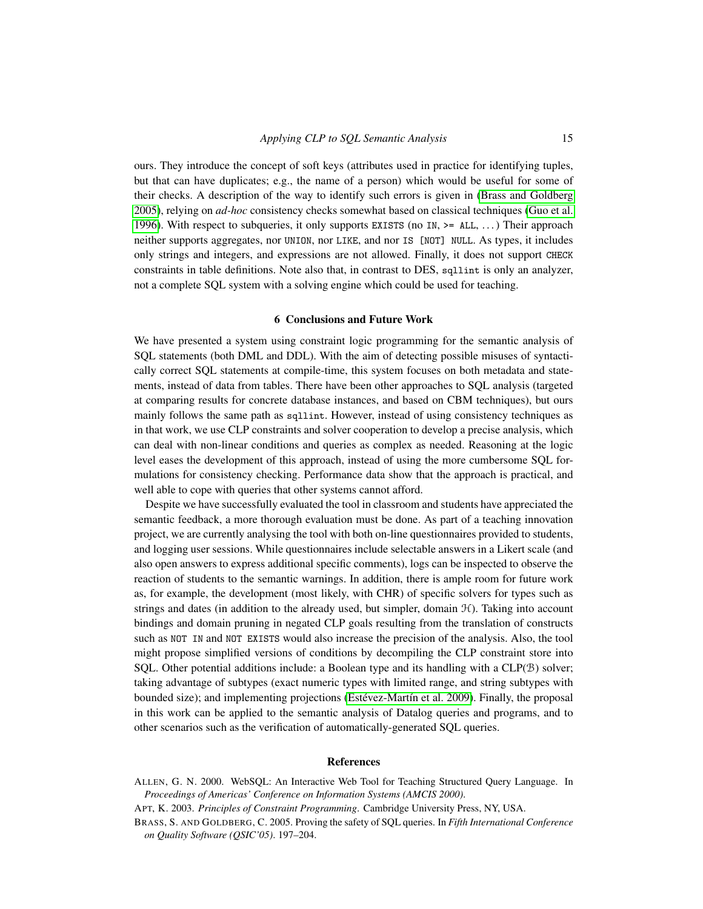ours. They introduce the concept of soft keys (attributes used in practice for identifying tuples, but that can have duplicates; e.g., the name of a person) which would be useful for some of their checks. A description of the way to identify such errors is given in [\(Brass and Goldberg](#page-14-3) [2005\)](#page-14-3), relying on *ad-hoc* consistency checks somewhat based on classical techniques [\(Guo et al.](#page-15-23) [1996\)](#page-15-23). With respect to subqueries, it only supports EXISTS (no IN, >= ALL, . . . ) Their approach neither supports aggregates, nor UNION, nor LIKE, and nor IS [NOT] NULL. As types, it includes only strings and integers, and expressions are not allowed. Finally, it does not support CHECK constraints in table definitions. Note also that, in contrast to DES, sqllint is only an analyzer, not a complete SQL system with a solving engine which could be used for teaching.

### 6 Conclusions and Future Work

<span id="page-14-1"></span>We have presented a system using constraint logic programming for the semantic analysis of SQL statements (both DML and DDL). With the aim of detecting possible misuses of syntactically correct SQL statements at compile-time, this system focuses on both metadata and statements, instead of data from tables. There have been other approaches to SQL analysis (targeted at comparing results for concrete database instances, and based on CBM techniques), but ours mainly follows the same path as sqllint. However, instead of using consistency techniques as in that work, we use CLP constraints and solver cooperation to develop a precise analysis, which can deal with non-linear conditions and queries as complex as needed. Reasoning at the logic level eases the development of this approach, instead of using the more cumbersome SQL formulations for consistency checking. Performance data show that the approach is practical, and well able to cope with queries that other systems cannot afford.

Despite we have successfully evaluated the tool in classroom and students have appreciated the semantic feedback, a more thorough evaluation must be done. As part of a teaching innovation project, we are currently analysing the tool with both on-line questionnaires provided to students, and logging user sessions. While questionnaires include selectable answers in a Likert scale (and also open answers to express additional specific comments), logs can be inspected to observe the reaction of students to the semantic warnings. In addition, there is ample room for future work as, for example, the development (most likely, with CHR) of specific solvers for types such as strings and dates (in addition to the already used, but simpler, domain  $H$ ). Taking into account bindings and domain pruning in negated CLP goals resulting from the translation of constructs such as NOT IN and NOT EXISTS would also increase the precision of the analysis. Also, the tool might propose simplified versions of conditions by decompiling the CLP constraint store into SQL. Other potential additions include: a Boolean type and its handling with a CLP(B) solver; taking advantage of subtypes (exact numeric types with limited range, and string subtypes with bounded size); and implementing projections (Estévez-Martín et al. 2009). Finally, the proposal in this work can be applied to the semantic analysis of Datalog queries and programs, and to other scenarios such as the verification of automatically-generated SQL queries.

## References

- <span id="page-14-2"></span>ALLEN, G. N. 2000. WebSQL: An Interactive Web Tool for Teaching Structured Query Language. In *Proceedings of Americas' Conference on Information Systems (AMCIS 2000)*.
- <span id="page-14-0"></span>APT, K. 2003. *Principles of Constraint Programming*. Cambridge University Press, NY, USA.
- <span id="page-14-3"></span>BRASS, S. AND GOLDBERG, C. 2005. Proving the safety of SQL queries. In *Fifth International Conference on Quality Software (QSIC'05)*. 197–204.